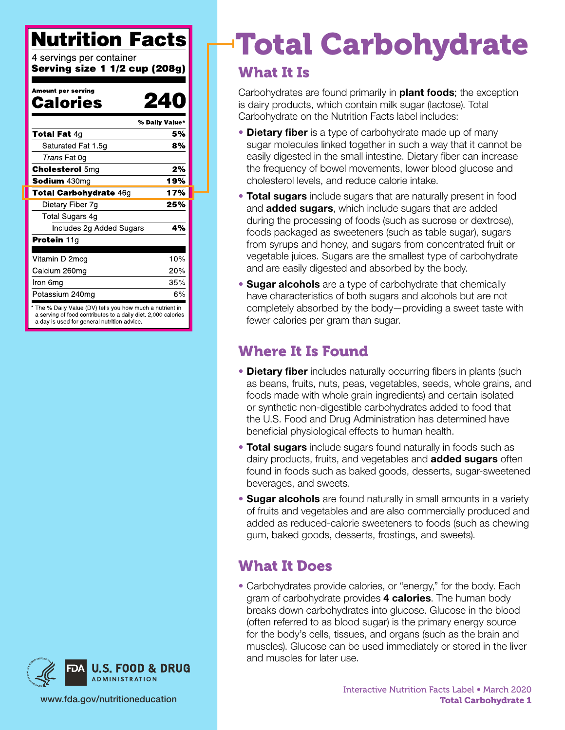## **Nutrition Facts**

4 servings per container Serving size 1 1/2 cup (208g)

| Amount per serving<br>Calories                                                                                                                                          | 24  |
|-------------------------------------------------------------------------------------------------------------------------------------------------------------------------|-----|
| % Daily Value*                                                                                                                                                          |     |
| <b>Total Fat <math>4q</math></b>                                                                                                                                        | 5%  |
| Saturated Fat 1 5g                                                                                                                                                      | 8%  |
| Trans Fat 0g                                                                                                                                                            |     |
| <b>Cholesterol 5mg</b>                                                                                                                                                  | 2%  |
| Sodium 430mg                                                                                                                                                            | 19% |
| <b>Total Carbohydrate 46g</b>                                                                                                                                           | 17% |
| Dietary Fiber 7g                                                                                                                                                        | 25% |
| Total Sugars 4g                                                                                                                                                         |     |
| Includes 2g Added Sugars                                                                                                                                                | 4%  |
| <b>Protein 11g</b>                                                                                                                                                      |     |
| Vitamin D 2mcg                                                                                                                                                          | 10% |
| Calcium 260mg                                                                                                                                                           | 20% |
| Iron 6mg                                                                                                                                                                | 35% |
| Potassium 240mg                                                                                                                                                         | 6%  |
| The % Daily Value (DV) tells you how much a nutrient in<br>a serving of food contributes to a daily diet. 2,000 calories<br>a day is used for general nutrition advice. |     |



# Total Carbohydrate

#### What It Is

Carbohydrates are found primarily in **plant foods**; the exception is dairy products, which contain milk sugar (lactose). Total Carbohydrate on the Nutrition Facts label includes:

- Dietary fiber is a type of carbohydrate made up of many sugar molecules linked together in such a way that it cannot be easily digested in the small intestine. Dietary fiber can increase the frequency of bowel movements, lower blood glucose and cholesterol levels, and reduce calorie intake.
- Total sugars include sugars that are naturally present in food and **added sugars**, which include sugars that are added during the processing of foods (such as sucrose or dextrose), foods packaged as sweeteners (such as table sugar), sugars from syrups and honey, and sugars from concentrated fruit or vegetable juices. Sugars are the smallest type of carbohydrate and are easily digested and absorbed by the body.
- Sugar alcohols are a type of carbohydrate that chemically have characteristics of both sugars and alcohols but are not completely absorbed by the body—providing a sweet taste with fewer calories per gram than sugar.

### Where It Is Found

- Dietary fiber includes naturally occurring fibers in plants (such as beans, fruits, nuts, peas, vegetables, seeds, whole grains, and foods made with whole grain ingredients) and certain isolated or synthetic non-digestible carbohydrates added to food that the U.S. Food and Drug Administration has determined have beneficial physiological effects to human health.
- Total sugars include sugars found naturally in foods such as dairy products, fruits, and vegetables and **added sugars** often found in foods such as baked goods, desserts, sugar-sweetened beverages, and sweets.
- Sugar alcohols are found naturally in small amounts in a variety of fruits and vegetables and are also commercially produced and added as reduced-calorie sweeteners to foods (such as chewing gum, baked goods, desserts, frostings, and sweets).

### What It Does

• Carbohydrates provide calories, or "energy," for the body. Each gram of carbohydrate provides 4 calories. The human body breaks down carbohydrates into glucose. Glucose in the blood (often referred to as blood sugar) is the primary energy source for the body's cells, tissues, and organs (such as the brain and muscles). Glucose can be used immediately or stored in the liver and muscles for later use.